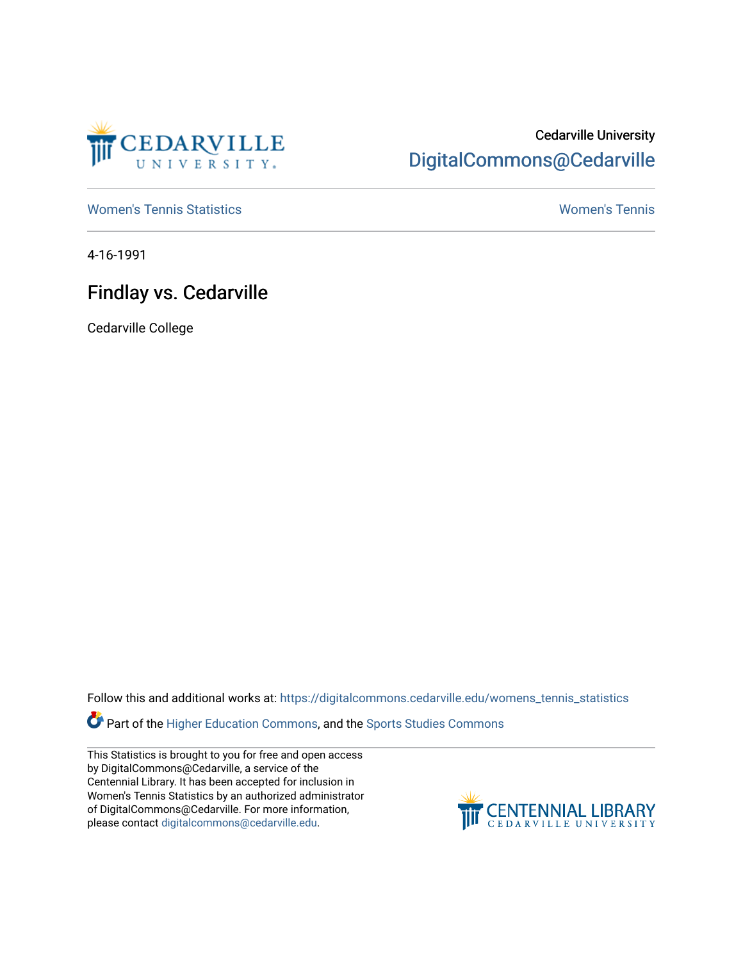

## Cedarville University [DigitalCommons@Cedarville](https://digitalcommons.cedarville.edu/)

[Women's Tennis Statistics](https://digitalcommons.cedarville.edu/womens_tennis_statistics) [Women's Tennis](https://digitalcommons.cedarville.edu/womens_tennis) 

4-16-1991

## Findlay vs. Cedarville

Cedarville College

Follow this and additional works at: [https://digitalcommons.cedarville.edu/womens\\_tennis\\_statistics](https://digitalcommons.cedarville.edu/womens_tennis_statistics?utm_source=digitalcommons.cedarville.edu%2Fwomens_tennis_statistics%2F126&utm_medium=PDF&utm_campaign=PDFCoverPages) 

Part of the [Higher Education Commons,](http://network.bepress.com/hgg/discipline/1245?utm_source=digitalcommons.cedarville.edu%2Fwomens_tennis_statistics%2F126&utm_medium=PDF&utm_campaign=PDFCoverPages) and the [Sports Studies Commons](http://network.bepress.com/hgg/discipline/1198?utm_source=digitalcommons.cedarville.edu%2Fwomens_tennis_statistics%2F126&utm_medium=PDF&utm_campaign=PDFCoverPages) 

This Statistics is brought to you for free and open access by DigitalCommons@Cedarville, a service of the Centennial Library. It has been accepted for inclusion in Women's Tennis Statistics by an authorized administrator of DigitalCommons@Cedarville. For more information, please contact [digitalcommons@cedarville.edu](mailto:digitalcommons@cedarville.edu).